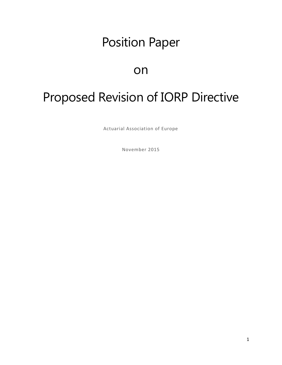# Position Paper

# on

# Proposed Revision of IORP Directive

Actuarial Association of Europe

November 2015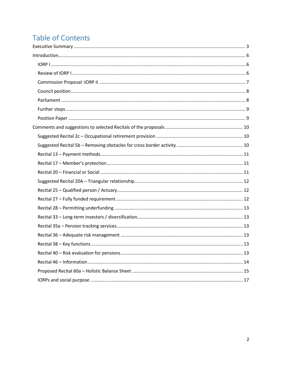# **Table of Contents**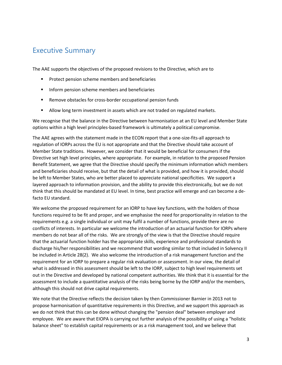# <span id="page-2-0"></span>Executive Summary

The AAE supports the objectives of the proposed revisions to the Directive, which are to

- Protect pension scheme members and beneficiaries
- Inform pension scheme members and beneficiaries
- Remove obstacles for cross-border occupational pension funds
- Allow long term investment in assets which are not traded on regulated markets.

We recognise that the balance in the Directive between harmonisation at an EU level and Member State options within a high level principles-based framework is ultimately a political compromise.

The AAE agrees with the statement made in the ECON report that a one-size-fits-all approach to regulation of IORPs across the EU is not appropriate and that the Directive should take account of Member State traditions. However, we consider that it would be beneficial for consumers if the Directive set high level principles, where appropriate. For example, in relation to the proposed Pension Benefit Statement, we agree that the Directive should specify the minimum information which members and beneficiaries should receive, but that the detail of what is provided, and how it is provided, should be left to Member States, who are better placed to appreciate national specificities. We support a layered approach to information provision, and the ability to provide this electronically, but we do not think that this should be mandated at EU level. In time, best practice will emerge and can become a defacto EU standard.

We welcome the proposed requirement for an IORP to have key functions, with the holders of those functions required to be fit and proper, and we emphasise the need for proportionality in relation to the requirements e.g. a single individual or unit may fulfil a number of functions, provide there are no conflicts of interests. In particular we welcome the introduction of an actuarial function for IORPs where members do not bear all of the risks. We are strongly of the view is that the Directive should require that the actuarial function holder has the appropriate skills, experience and professional standards to discharge his/her responsibilities and we recommend that wording similar to that included in Solvency II be included in Article 28(2). We also welcome the introduction of a risk management function and the requirement for an IORP to prepare a regular risk evaluation or assessment. In our view, the detail of what is addressed in this assessment should be left to the IORP, subject to high level requirements set out in the Directive and developed by national competent authorities. We think that it is essential for the assessment to include a quantitative analysis of the risks being borne by the IORP and/or the members, although this should not drive capital requirements.

We note that the Directive reflects the decision taken by then Commissioner Barnier in 2013 not to propose harmonisation of quantitative requirements in this Directive, and we support this approach as we do not think that this can be done without changing the "pension deal" between employer and employee. We are aware that EIOPA is carrying out further analysis of the possibility of using a "holistic balance sheet" to establish capital requirements or as a risk management tool, and we believe that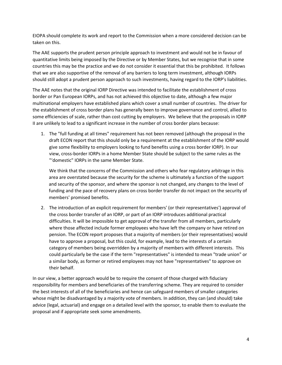EIOPA should complete its work and report to the Commission when a more considered decision can be taken on this.

The AAE supports the prudent person principle approach to investment and would not be in favour of quantitative limits being imposed by the Directive or by Member States, but we recognise that in some countries this may be the practice and we do not consider it essential that this be prohibited. It follows that we are also supportive of the removal of any barriers to long term investment, although IORPs should still adopt a prudent person approach to such investments, having regard to the IORP's liabilities.

The AAE notes that the original IORP Directive was intended to facilitate the establishment of cross border or Pan European IORPs, and has not achieved this objective to date, although a few major multinational employers have established plans which cover a small number of countries. The driver for the establishment of cross border plans has generally been to improve governance and control, allied to some efficiencies of scale, rather than cost cutting by employers. We believe that the proposals in IORP II are unlikely to lead to a significant increase in the number of cross border plans because:

1. The "full funding at all times" requirement has not been removed (although the proposal in the draft ECON report that this should only be a requirement at the establishment of the IORP would give some flexibility to employers looking to fund benefits using a cross border IORP). In our view, cross-border IORPs in a home Member State should be subject to the same rules as the "'domestic" IORPs in the same Member State.

We think that the concerns of the Commission and others who fear regulatory arbitrage in this area are overstated because the security for the scheme is ultimately a function of the support and security of the sponsor, and where the sponsor is not changed, any changes to the level of funding and the pace of recovery plans on cross border transfer do not impact on the security of members' promised benefits.

2. The introduction of an explicit requirement for members' (or their representatives') approval of the cross border transfer of an IORP, or part of an IORP introduces additional practical difficulties. It will be impossible to get approval of the transfer from all members, particularly where those affected include former employees who have left the company or have retired on pension. The ECON report proposes that a majority of members (or their representatives) would have to approve a proposal, but this could, for example, lead to the interests of a certain category of members being overridden by a majority of members with different interests. This could particularly be the case if the term "representatives" is intended to mean "trade union" or a similar body, as former or retired employees may not have "representatives" to approve on their behalf.

In our view, a better approach would be to require the consent of those charged with fiduciary responsibility for members and beneficiaries of the transferring scheme. They are required to consider the best interests of all of the beneficiaries and hence can safeguard members of smaller categories whose might be disadvantaged by a majority vote of members. In addition, they can (and should) take advice (legal, actuarial) and engage on a detailed level with the sponsor, to enable them to evaluate the proposal and if appropriate seek some amendments.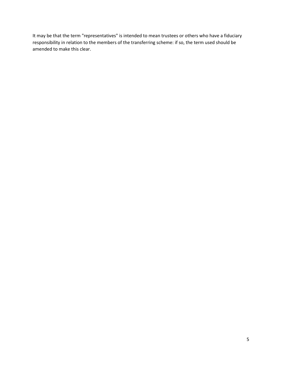It may be that the term "representatives" is intended to mean trustees or others who have a fiduciary responsibility in relation to the members of the transferring scheme: if so, the term used should be amended to make this clear.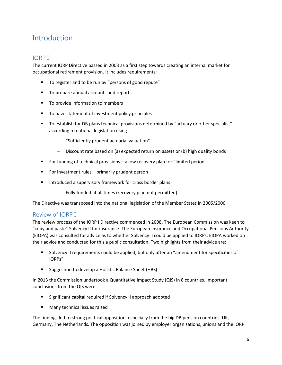# <span id="page-5-0"></span>**Introduction**

# <span id="page-5-1"></span>IORP I

The current IORP Directive passed in 2003 as a first step towards creating an internal market for occupational retirement provision. It includes requirements:

- To register and to be run by "persons of good repute"
- To prepare annual accounts and reports
- To provide information to members
- To have statement of investment policy principles
- To establish for DB plans technical provisions determined by "actuary or other specialist" according to national legislation using
	- "Sufficiently prudent actuarial valuation"
	- Discount rate based on (a) expected return on assets or (b) high quality bonds
- For funding of technical provisions allow recovery plan for "limited period"
- For investment rules primarily prudent person
- Introduced a supervisory framework for cross border plans
	- Fully funded at all times (recovery plan not permitted)

The Directive was transposed into the national legislation of the Member States in 2005/2006

### <span id="page-5-2"></span>Review of IORP I

The review process of the IORP I Directive commenced in 2008. The European Commission was keen to "copy and paste" Solvency II for insurance. The European Insurance and Occupational Pensions Authority (EIOPA) was consulted for advice as to whether Solvency II could be applied to IORPs. EIOPA worked on their advice and conducted for this a public consultation. Two highlights from their advice are:

- Solvency II requirements could be applied, but only after an "amendment for specificities of IORPs"
- Suggestion to develop a Holistic Balance Sheet (HBS)

In 2013 the Commission undertook a Quantitative Impact Study (QIS) in 8 countries. Important conclusions from the QIS were:

- Significant capital required if Solvency II approach adopted
- Many technical issues raised

The findings led to strong political opposition, especially from the big DB pension countries: UK, Germany, The Netherlands. The opposition was joined by employer organisations, unions and the IORP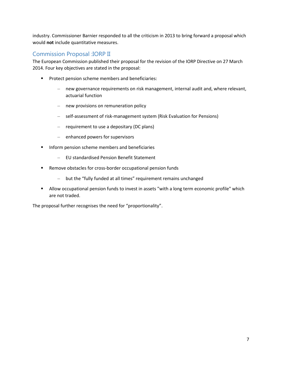industry. Commissioner Barnier responded to all the criticism in 2013 to bring forward a proposal which would **not** include quantitative measures.

# <span id="page-6-0"></span>Commission Proposal :IORP II

The European Commission published their proposal for the revision of the IORP Directive on 27 March 2014. Four key objectives are stated in the proposal:

- **Protect pension scheme members and beneficiaries:** 
	- new governance requirements on risk management, internal audit and, where relevant, actuarial function
	- new provisions on remuneration policy
	- self-assessment of risk-management system (Risk Evaluation for Pensions)
	- requirement to use a depositary (DC plans)
	- enhanced powers for supervisors
- Inform pension scheme members and beneficiaries
	- EU standardised Pension Benefit Statement
- Remove obstacles for cross-border occupational pension funds
	- but the "fully funded at all times" requirement remains unchanged
- Allow occupational pension funds to invest in assets "with a long term economic profile" which are not traded.

The proposal further recognises the need for "proportionality".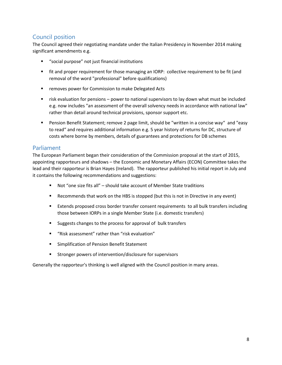# <span id="page-7-0"></span>Council position

The Council agreed their negotiating mandate under the Italian Presidency in November 2014 making significant amendments e.g.

- "social purpose" not just financial institutions
- fit and proper requirement for those managing an IORP: collective requirement to be fit (and removal of the word "professional" before qualifications)
- removes power for Commission to make Delegated Acts
- risk evaluation for pensions power to national supervisors to lay down what must be included e.g. now includes "an assessment of the overall solvency needs in accordance with national law" rather than detail around technical provisions, sponsor support etc.
- Pension Benefit Statement; remove 2 page limit, should be "written in a concise way" and "easy to read" and requires additional information e.g. 5 year history of returns for DC, structure of costs where borne by members, details of guarantees and protections for DB schemes

### <span id="page-7-1"></span>Parliament

The European Parliament began their consideration of the Commission proposal at the start of 2015, appointing rapporteurs and shadows – the Economic and Monetary Affairs (ECON) Committee takes the lead and their rapporteur is Brian Hayes (Ireland). The rapporteur published his initial report in July and it contains the following recommendations and suggestions:

- Not "one size fits all" should take account of Member State traditions
- Recommends that work on the HBS is stopped (but this is not in Directive in any event)
- Extends proposed cross border transfer consent requirements to all bulk transfers including those between IORPs in a single Member State (i.e. domestic transfers)
- Suggests changes to the process for approval of bulk transfers
- "Risk assessment" rather than "risk evaluation"
- **EXEC** Simplification of Pension Benefit Statement
- Stronger powers of intervention/disclosure for supervisors

Generally the rapporteur's thinking is well aligned with the Council position in many areas.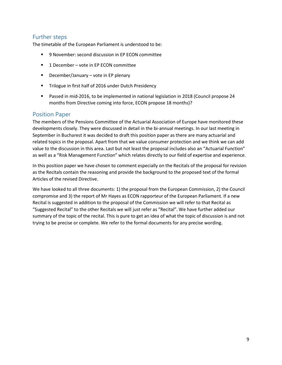# <span id="page-8-0"></span>Further steps

The timetable of the European Parliament is understood to be:

- 9 November: second discussion in EP ECON committee
- 1 December vote in EP ECON committee
- $\blacksquare$  December/January vote in EP plenary
- Trilogue in first half of 2016 under Dutch Presidency
- Passed in mid-2016, to be implemented in national legislation in 2018 (Council propose 24 months from Directive coming into force, ECON propose 18 months)?

#### <span id="page-8-1"></span>Position Paper

The members of the Pensions Committee of the Actuarial Association of Europe have monitored these developments closely. They were discussed in detail in the bi-annual meetings. In our last meeting in September in Bucharest it was decided to draft this position paper as there are many actuarial and related topics in the proposal. Apart from that we value consumer protection and we think we can add value to the discussion in this area. Last but not least the proposal includes also an "Actuarial Function" as well as a "Risk Management Function" which relates directly to our field of expertise and experience.

In this position paper we have chosen to comment especially on the Recitals of the proposal for revision as the Recitals contain the reasoning and provide the background to the proposed text of the formal Articles of the revised Directive.

We have looked to all three documents: 1) the proposal from the European Commission, 2) the Council compromise and 3) the report of Mr Hayes as ECON rapporteur of the European Parliament. If a new Recital is suggested in addition to the proposal of the Commission we will refer to that Recital as "Suggested Recital" to the other Recitals we will just refer as "Recital". We have further added our summary of the topic of the recital. This is pure to get an idea of what the topic of discussion is and not trying to be precise or complete. We refer to the formal documents for any precise wording.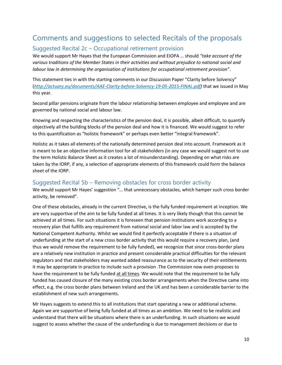# <span id="page-9-0"></span>Comments and suggestions to selected Recitals of the proposals

# <span id="page-9-1"></span>Suggested Recital 2c – Occupational retirement provision

We would support Mr Hayes that the European Commission and EIOPA … should *"take account of the various traditions of the Member States in their activities and without prejudice to national social and labour law in determining the organisation of institutions for occupational retirement provision"*.

This statement ties in with the starting comments in our Discussion Paper "Clarity before Solvency" (*[http://actuary.eu/documents/AAE-Clarity-before-Solvency-19-05-2015-FINAL.pdf\)](http://actuary.eu/documents/AAE-Clarity-before-Solvency-19-05-2015-FINAL.pdf)* that we issued in May this year.

Second pillar pensions originate from the labour relationship between employee and employee and are governed by national social and labour law.

Knowing and respecting the characteristics of the pension deal, it is possible, albeit difficult, to quantify objectively all the building blocks of the pension deal and how it is financed. We would suggest to refer to this quantification as "holistic framework" or perhaps even better "integral framework".

Holistic as it takes all elements of the nationally determined pension deal into account. Framework as it is meant to be an objective information tool for all stakeholders (in any case we would suggest not to use the term Holistic Balance Sheet as it creates a lot of misunderstanding). Depending on what risks are taken by the IORP, if any, a selection of appropriate elements of this framework could form the balance sheet of the IORP.

#### <span id="page-9-2"></span>Suggested Recital 5b – Removing obstacles for cross border activity

We would support Mr Hayes' suggestion "… that unnecessary obstacles, which hamper such cross border activity, be removed".

One of these obstacles, already in the current Directive, is the fully funded requirement at inception. We are very supportive of the aim to be fully funded at all times. It is very likely though that this cannot be achieved at all times. For such situations it is foreseen that pension institutions work according to a recovery plan that fulfills any requirement from national social and labor law and is accepted by the National Competent Authority. Whilst we would find it perfectly acceptable if there is a situation of underfunding at the start of a new cross border activity that this would require a recovery plan, (and thus we would remove the requirement to be fully funded), we recognize that since cross-border plans are a relatively new institution in practice and present considerable practical difficulties for the relevant regulators and that stakeholders may wanted added reassurance as to the security of their entitlements it may be appropriate in practice to include such a provision .The Commission now even proposes to have the requirement to be fully funded at all times. We would note that the requirement to be fully funded has caused closure of the many existing cross border arrangements when the Directive came into effect, e.g. the cross border plans between Ireland and the UK and has been a considerable barrier to the establishment of new such arrangements.

Mr Hayes suggests to extend this to all institutions that start operating a new or additional scheme. Again we are supportive of being fully funded at all times as an ambition. We need to be realistic and understand that there will be situations where there is an underfunding. In such situations we would suggest to assess whether the cause of the underfunding is due to management decisions or due to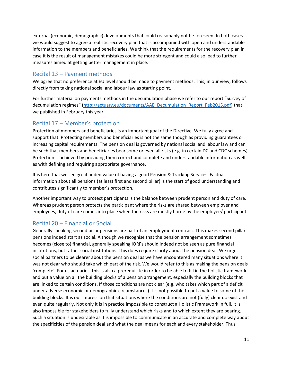external (economic, demographic) developments that could reasonably not be foreseen. In both cases we would suggest to agree a realistic recovery plan that is accompanied with open and understandable information to the members and beneficiaries. We think that the requirements for the recovery plan in case it is the result of management mistakes could be more stringent and could also lead to further measures aimed at getting better management in place.

# <span id="page-10-0"></span>Recital 13 – Payment methods

We agree that no preference at EU level should be made to payment methods. This, in our view, follows directly from taking national social and labour law as starting point.

For further material on payments methods in the decumulation phase we refer to our report "Survey of decumulation regimes" [\(http://actuary.eu/documents/AAE\\_Decumulation\\_Report\\_Feb2015.pdf\)](http://actuary.eu/documents/AAE_Decumulation_Report_Feb2015.pdf) that we published in February this year.

# <span id="page-10-1"></span>Recital 17 – Member's protection

Protection of members and beneficiaries is an important goal of the Directive. We fully agree and support that. Protecting members and beneficiaries is not the same though as providing guarantees or increasing capital requirements. The pension deal is governed by national social and labour law and can be such that members and beneficiaries bear some or even all risks (e.g. in certain DC and CDC schemes). Protection is achieved by providing them correct and complete and understandable information as well as with defining and requiring appropriate governance.

It is here that we see great added value of having a good Pension & Tracking Services. Factual information about all pensions (at least first and second pillar) is the start of good understanding and contributes significantly to member's protection.

Another important way to protect participants is the balance between prudent person and duty of care. Whereas prudent person protects the participant where the risks are shared between employer and employees, duty of care comes into place when the risks are mostly borne by the employee/ participant.

# <span id="page-10-2"></span>Recital 20 – Financial or Social

Generally speaking second pillar pensions are part of an employment contract. This makes second pillar pensions indeed start as social. Although we recognise that the pension arrangement sometimes becomes (close to) financial, generally speaking IORPs should indeed not be seen as pure financial institutions, but rather social institutions. This does require clarity about the pension deal. We urge social partners to be clearer about the pension deal as we have encountered many situations where it was not clear who should take which part of the risk. We would refer to this as making the pension deals 'complete'. For us actuaries, this is also a prerequisite in order to be able to fill in the holistic framework and put a value on all the building blocks of a pension arrangement, especially the building blocks that are linked to certain conditions. If those conditions are not clear (e.g. who takes which part of a deficit under adverse economic or demographic circumstances) it is not possible to put a value to some of the building blocks. It is our impression that situations where the conditions are not (fully) clear do exist and even quite regularly. Not only it is in practice impossible to construct a Holistic Framework in full, it is also impossible for stakeholders to fully understand which risks and to which extent they are bearing. Such a situation is undesirable as it is impossible to communicate in an accurate and complete way about the specificities of the pension deal and what the deal means for each and every stakeholder. Thus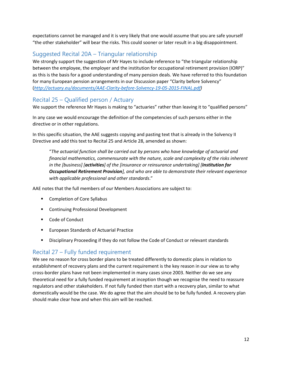expectations cannot be managed and it is very likely that one would assume that you are safe yourself "the other stakeholder" will bear the risks. This could sooner or later result in a big disappointment.

# <span id="page-11-0"></span>Suggested Recital 20A – Triangular relationship

We strongly support the suggestion of Mr Hayes to include reference to "the triangular relationship between the employee, the employer and the institution for occupational retirement provision (IORP)" as this is the basis for a good understanding of many pension deals. We have referred to this foundation for many European pension arrangements in our Discussion paper "Clarity before Solvency" (*[http://actuary.eu/documents/AAE-Clarity-before-Solvency-19-05-2015-FINAL.pdf\)](http://actuary.eu/documents/AAE-Clarity-before-Solvency-19-05-2015-FINAL.pdf)*

# <span id="page-11-1"></span>Recital 25 – Qualified person / Actuary

We support the reference Mr Hayes is making to "actuaries" rather than leaving it to "qualified persons"

In any case we would encourage the definition of the competencies of such persons either in the directive or in other regulations.

In this specific situation, the AAE suggests copying and pasting text that is already in the Solvency II Directive and add this text to Recital 25 and Article 28, amended as shown:

"*The actuarial function shall be carried out by persons who have knowledge of actuarial and financial mathematics, commensurate with the nature, scale and complexity of the risks inherent in the [business] [activities] of the [insurance or reinsurance undertaking] [Institution for Occupational Retirement Provision], and who are able to demonstrate their relevant experience with applicable professional and other standards*."

AAE notes that the full members of our Members Associations are subject to:

- Completion of Core Syllabus
- Continuing Professional Development
- Code of Conduct
- **European Standards of Actuarial Practice**
- Disciplinary Proceeding if they do not follow the Code of Conduct or relevant standards

# <span id="page-11-2"></span>Recital 27 – Fully funded requirement

We see no reason for cross border plans to be treated differently to domestic plans in relation to establishment of recovery plans and the current requirement is the key reason in our view as to why cross-border plans have not been implemented in many cases since 2003. Neither do we see any theoretical need for a fully funded requirement at inception though we recognise the need to reassure regulators and other stakeholders. If not fully funded then start with a recovery plan, similar to what domestically would be the case. We do agree that the aim should be to be fully funded. A recovery plan should make clear how and when this aim will be reached.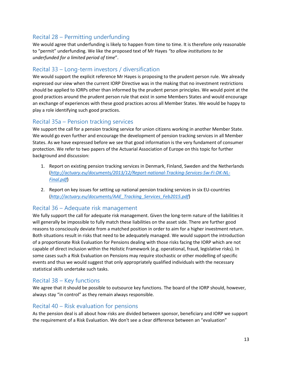# <span id="page-12-0"></span>Recital 28 – Permitting underfunding

We would agree that underfunding is likely to happen from time to time. It is therefore only reasonable to "permit" underfunding. We like the proposed text of Mr Hayes *"to allow institutions to be underfunded for a limited period of time*".

# <span id="page-12-1"></span>Recital 33 – Long-term investors / diversification

We would support the explicit reference Mr Hayes is proposing to the prudent person rule. We already expressed our view when the current IORP Directive was in the making that no investment restrictions should be applied to IORPs other than informed by the prudent person principles. We would point at the good practices around the prudent person rule that exist in some Members States and would encourage an exchange of experiences with these good practices across all Member States. We would be happy to play a role identifying such good practices.

### <span id="page-12-2"></span>Recital 35a – Pension tracking services

We support the call for a pension tracking service for union citizens working in another Member State. We would go even further and encourage the development of pension tracking services in all Member States. As we have expressed before we see that good information is the very fundament of consumer protection. We refer to two papers of the Actuarial Association of Europe on this topic for further background and discussion:

- 1. Report on existing pension tracking services in Denmark, Finland, Sweden and the Netherlands (*[http://actuary.eu/documents/2013/12/Report-national-Tracking-Services-Sw-Fi-DK-NL-](http://actuary.eu/documents/2013/12/Report-national-Tracking-Services-Sw-Fi-DK-NL-Final.pdf)[Final.pdf](http://actuary.eu/documents/2013/12/Report-national-Tracking-Services-Sw-Fi-DK-NL-Final.pdf)*)
- 2. Report on key issues for setting up national pension tracking services in six EU-countries (*[http://actuary.eu/documents/AAE\\_Tracking\\_Services\\_Feb2015.pdf](http://actuary.eu/documents/AAE_Tracking_Services_Feb2015.pdf)*)

# <span id="page-12-3"></span>Recital 36 – Adequate risk management

We fully support the call for adequate risk management. Given the long-term nature of the liabilities it will generally be impossible to fully match these liabilities on the asset side. There are further good reasons to consciously deviate from a matched position in order to aim for a higher investment return. Both situations result in risks that need to be adequately managed. We would support the introduction of a proportionate Risk Evaluation for Pensions dealing with those risks facing the IORP which are not capable of direct inclusion within the Holistic Framework (e.g. operational, fraud, legislative risks). In some cases such a Risk Evaluation on Pensions may require stochastic or other modelling of specific events and thus we would suggest that only appropriately qualified individuals with the necessary statistical skills undertake such tasks.

# <span id="page-12-4"></span>Recital 38 – Key functions

We agree that it should be possible to outsource key functions. The board of the IORP should, however, always stay "in control" as they remain always responsible.

# <span id="page-12-5"></span>Recital 40 – Risk evaluation for pensions

As the pension deal is all about how risks are divided between sponsor, beneficiary and IORP we support the requirement of a Risk Evaluation. We don't see a clear difference between an "evaluation"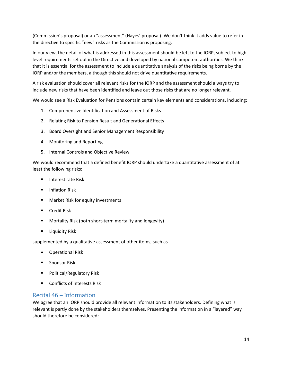(Commission's proposal) or an "assessment" (Hayes' proposal). We don't think it adds value to refer in the directive to specific "new" risks as the Commission is proposing.

In our view, the detail of what is addressed in this assessment should be left to the IORP, subject to high level requirements set out in the Directive and developed by national competent authorities. We think that it is essential for the assessment to include a quantitative analysis of the risks being borne by the IORP and/or the members, although this should not drive quantitative requirements.

A risk evaluation should cover all relevant risks for the IORP and the assessment should always try to include new risks that have been identified and leave out those risks that are no longer relevant.

We would see a Risk Evaluation for Pensions contain certain key elements and considerations, including:

- 1. Comprehensive Identification and Assessment of Risks
- 2. Relating Risk to Pension Result and Generational Effects
- 3. Board Oversight and Senior Management Responsibility
- 4. Monitoring and Reporting
- 5. Internal Controls and Objective Review

We would recommend that a defined benefit IORP should undertake a quantitative assessment of at least the following risks:

- **Interest rate Risk**
- **F** Inflation Risk
- **Market Risk for equity investments**
- **Credit Risk**
- Mortality Risk (both short-term mortality and longevity)
- Liquidity Risk

supplemented by a qualitative assessment of other items, such as

- Operational Risk
- **Sponsor Risk**
- Political/Regulatory Risk
- Conflicts of Interests Risk

# <span id="page-13-0"></span>Recital 46 – Information

We agree that an IORP should provide all relevant information to its stakeholders. Defining what is relevant is partly done by the stakeholders themselves. Presenting the information in a "layered" way should therefore be considered: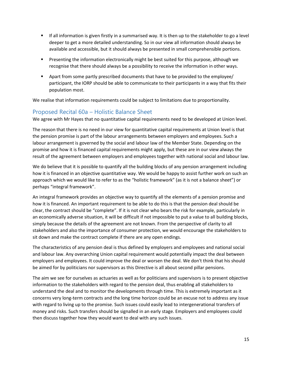- If all information is given firstly in a summarised way. It is then up to the stakeholder to go a level deeper to get a more detailed understanding. So in our view all information should always be available and accessible, but it should always be presented in small comprehensible portions.
- **Presenting the information electronically might be best suited for this purpose, although we** recognise that there should always be a possibility to receive the information in other ways.
- Apart from some partly prescribed documents that have to be provided to the employee/ participant, the IORP should be able to communicate to their participants in a way that fits their population most.

We realise that information requirements could be subject to limitations due to proportionality.

# <span id="page-14-0"></span>Proposed Recital 60a – Holistic Balance Sheet

We agree with Mr Hayes that no quantitative capital requirements need to be developed at Union level.

The reason that there is no need in our view for quantitative capital requirements at Union level is that the pension promise is part of the labour arrangements between employers and employees. Such a labour arrangement is governed by the social and labour law of the Member State. Depending on the promise and how it is financed capital requirements might apply, but these are in our view always the result of the agreement between employers and employees together with national social and labour law.

We do believe that it is possible to quantify all the building blocks of any pension arrangement including how it is financed in an objective quantitative way. We would be happy to assist further work on such an approach which we would like to refer to as the "holistic framework" (as it is not a balance sheet") or perhaps "integral framework".

An integral framework provides an objective way to quantify all the elements of a pension promise and how it is financed. An important requirement to be able to do this is that the pension deal should be clear, the contract should be "complete". If it is not clear who bears the risk for example, particularly in an economically adverse situation, it will be difficult if not impossible to put a value to all building blocks, simply because the details of the agreement are not known. From the perspective of clarity to all stakeholders and also the importance of consumer protection, we would encourage the stakeholders to sit down and make the contract complete if there are any open endings.

The characteristics of any pension deal is thus defined by employers and employees and national social and labour law. Any overarching Union capital requirement would potentially impact the deal between employers and employees. It could improve the deal or worsen the deal. We don't think that his should be aimed for by politicians nor supervisors as this Directive is all about second pillar pensions.

The aim we see for ourselves as actuaries as well as for politicians and supervisors is to present objective information to the stakeholders with regard to the pension deal, thus enabling all stakeholders to understand the deal and to monitor the developments through time. This is extremely important as it concerns very long-term contracts and the long time horizon could be an excuse not to address any issue with regard to living up to the promise. Such issues could easily lead to intergenerational transfers of money and risks. Such transfers should be signalled in an early stage. Employers and employees could then discuss together how they would want to deal with any such issues.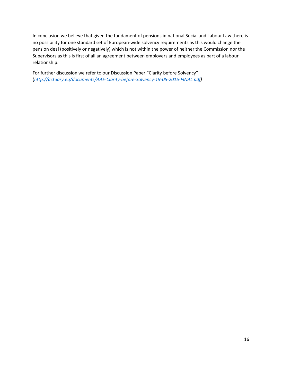In conclusion we believe that given the fundament of pensions in national Social and Labour Law there is no possibility for one standard set of European-wide solvency requirements as this would change the pension deal (positively or negatively) which is not within the power of neither the Commission nor the Supervisors as this is first of all an agreement between employers and employees as part of a labour relationship.

For further discussion we refer to our Discussion Paper "Clarity before Solvency" (*[http://actuary.eu/documents/AAE-Clarity-before-Solvency-19-05-2015-FINAL.pdf\)](http://actuary.eu/documents/AAE-Clarity-before-Solvency-19-05-2015-FINAL.pdf)*